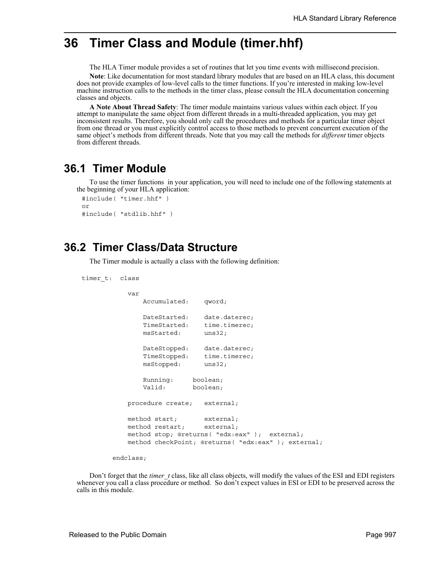# **36 Timer Class and Module (timer.hhf)**

The HLA Timer module provides a set of routines that let you time events with millisecond precision.

**Note**: Like documentation for most standard library modules that are based on an HLA class, this document does not provide examples of low-level calls to the timer functions. If you're interested in making low-level machine instruction calls to the methods in the timer class, please consult the HLA documentation concerning classes and objects.

**A Note About Thread Safety**: The timer module maintains various values within each object. If you attempt to manipulate the same object from different threads in a multi-threaded application, you may get inconsistent results. Therefore, you should only call the procedures and methods for a particular timer object from one thread or you must explicitly control access to those methods to prevent concurrent execution of the same object's methods from different threads. Note that you may call the methods for *different* timer objects from different threads.

### **36.1 Timer Module**

To use the timer functions in your application, you will need to include one of the following statements at the beginning of your HLA application:

```
#include( "timer.hhf" )
or
#include( "stdlib.hhf" )
```
# **36.2 Timer Class/Data Structure**

The Timer module is actually a class with the following definition:

```
timer_t: class
```

```
 var
    Accumulated: qword;
    DateStarted: date.daterec;
    TimeStarted: time.timerec;
    msStarted: uns32;
    DateStopped: date.daterec;
    TimeStopped: time.timerec;
    msStopped: uns32;
    Running: boolean;
    Valid: boolean;
 procedure create; external;
method start; external;
 method restart; external;
 method stop; @returns( "edx:eax" ); external;
 method checkPoint; @returns( "edx:eax" ); external;
```
endclass;

Don't forget that the *timer\_t* class, like all class objects, will modify the values of the ESI and EDI registers whenever you call a class procedure or method. So don't expect values in ESI or EDI to be preserved across the calls in this module.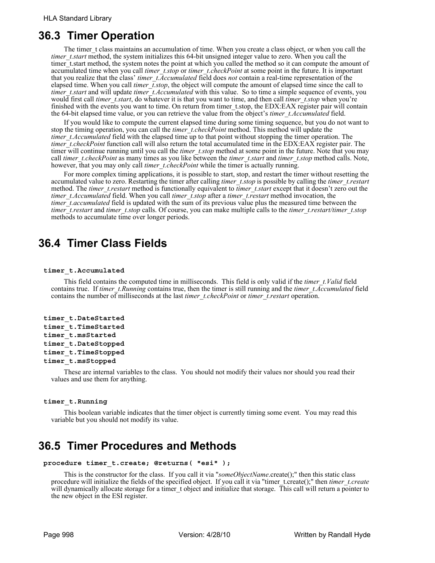## **36.3 Timer Operation**

The timer t class maintains an accumulation of time. When you create a class object, or when you call the *timer t.start* method, the system initializes this 64-bit unsigned integer value to zero. When you call the timer t.start method, the system notes the point at which you called the method so it can compute the amount of accumulated time when you call *timer\_t.stop* or *timer\_t.checkPoint* at some point in the future. It is important that you realize that the class' *timer\_t.Accumulated* field does *not* contain a real-time representation of the elapsed time. When you call *timer* t.stop, the object will compute the amount of elapsed time since the call to *timer t.start* and will update *timer t.Accumulated* with this value. So to time a simple sequence of events, you would first call *timer t.start*, do whatever it is that you want to time, and then call *timer t.stop* when you're finished with the events you want to time. On return from timer t.stop, the EDX:EAX register pair will contain the 64-bit elapsed time value, or you can retrieve the value from the object's *timer\_t.Accumulated* field.

If you would like to compute the current elapsed time during some timing sequence, but you do not want to stop the timing operation, you can call the *timer\_t.checkPoint* method. This method will update the *timer t.Accumulated* field with the elapsed time up to that point without stopping the timer operation. The *timer t.checkPoint* function call will also return the total accumulated time in the EDX:EAX register pair. The timer will continue running until you call the *timer* t.stop method at some point in the future. Note that you may call *timer\_t.checkPoint* as many times as you like between the *timer\_t.start* and *timer\_t.stop* method calls. Note, however, that you may only call *timer\_t.checkPoint* while the timer is actually running.

For more complex timing applications, it is possible to start, stop, and restart the timer without resetting the accumulated value to zero. Restarting the timer after calling *timer\_t.stop* is possible by calling the *timer\_t.restart* method. The *timer* t.restart method is functionally equivalent to *timer* t.start except that it doesn't zero out the *timer\_t.Accumulated* field. When you call *timer\_t.stop* after a *timer\_t.restart* method invocation, the *timer\_t.accumulated* field is updated with the sum of its previous value plus the measured time between the *timer\_t.restart* and *timer\_t.stop* calls. Of course, you can make multiple calls to the *timer\_t.restart/timer\_t.stop* methods to accumulate time over longer periods.

# **36.4 Timer Class Fields**

#### **timer\_t.Accumulated**

This field contains the computed time in milliseconds. This field is only valid if the *timer\_t.Valid* field contains true. If *timer\_t.Running* contains true, then the timer is still running and the *timer\_t.Accumulated* field contains the number of milliseconds at the last *timer\_t.checkPoint* or *timer\_t.restart* operation.

```
timer_t.DateStarted
timer_t.TimeStarted
timer_t.msStarted
timer_t.DateStopped
timer_t.TimeStopped
timer_t.msStopped
```
These are internal variables to the class. You should not modify their values nor should you read their values and use them for anything.

### **timer\_t.Running**

This boolean variable indicates that the timer object is currently timing some event. You may read this variable but you should not modify its value.

# **36.5 Timer Procedures and Methods**

```
procedure timer_t.create; @returns( "esi" );
```
This is the constructor for the class. If you call it via "*someObjectName*.create();" then this static class procedure will initialize the fields of the specified object. If you call it via "timer\_t.create();" then *timer\_t.create* will dynamically allocate storage for a timer\_t object and initialize that storage. This call will return a pointer to the new object in the ESI register.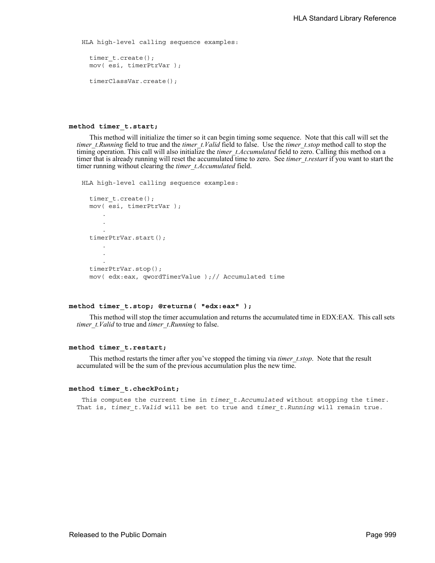```
HLA high-level calling sequence examples:
  timer t.create();
  mov( esi, timerPtrVar );
  timerClassVar.create();
```
#### **method timer\_t.start;**

This method will initialize the timer so it can begin timing some sequence. Note that this call will set the *timer\_t.Running* field to true and the *timer\_t.Valid* field to false. Use the *timer\_t.stop* method call to stop the timing operation. This call will also initialize the *timer* t.Accumulated field to zero. Calling this method on a timer that is already running will reset the accumulated time to zero. See *timer\_t.restart* if you want to start the timer running without clearing the *timer\_t.Accumulated* field.

HLA high-level calling sequence examples:

```
timer t.create();
mov( esi, timerPtrVar );
    .
    .
    .
timerPtrVar.start();
    .
    .
    .
timerPtrVar.stop();
mov( edx:eax, qwordTimerValue );// Accumulated time
```
#### **method timer\_t.stop; @returns( "edx:eax" );**

This method will stop the timer accumulation and returns the accumulated time in EDX:EAX. This call sets *timer\_t.Valid* to true and *timer\_t.Running* to false.

#### **method timer\_t.restart;**

This method restarts the timer after you've stopped the timing via *timer\_t.stop*. Note that the result accumulated will be the sum of the previous accumulation plus the new time.

#### **method timer\_t.checkPoint;**

This computes the current time in *timer t.Accumulated* without stopping the timer. That is, *timer t.Valid* will be set to true and *timer t.Running* will remain true.